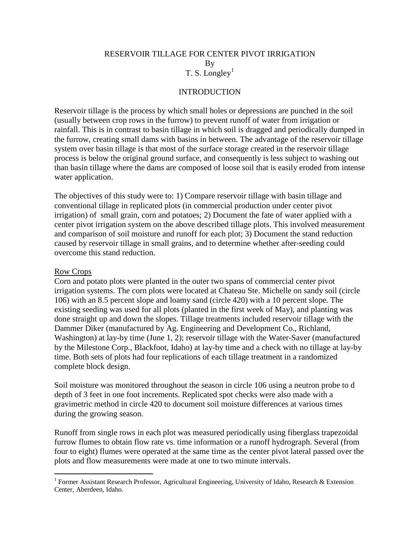# RESERVOIR TILLAGE FOR CENTER PIVOT IRRIGATION By T. S. Longley<sup>[1](#page-0-0)</sup>

### **INTRODUCTION**

Reservoir tillage is the process by which small holes or depressions are punched in the soil (usually between crop rows in the furrow) to prevent runoff of water from irrigation or rainfall. This is in contrast to basin tillage in which soil is dragged and periodically dumped in the furrow, creating small dams with basins in between. The advantage of the reservoir tillage system over basin tillage is that most of the surface storage created in the reservoir tillage process is below the original ground surface, and consequently is less subject to washing out than basin tillage where the dams are composed of loose soil that is easily eroded from intense water application.

The objectives of this study were to: 1) Compare reservoir tillage with basin tillage and conventional tillage in replicated plots (in commercial production under center pivot irrigation) of small grain, corn and potatoes; 2) Document the fate of water applied with a center pivot irrigation system on the above described tillage plots. This involved measurement and comparison of soil moisture and runoff for each plot; 3) Document the stand reduction caused by reservoir tillage in small grains, and to determine whether after-seeding could overcome this stand reduction.

#### Row Crops

Corn and potato plots were planted in the outer two spans of commercial center pivot irrigation systems. The corn plots were located at Chateau Ste. Michelle on sandy soil (circle 106) with an 8.5 percent slope and loamy sand (circle 420) with a 10 percent slope. The existing seeding was used for all plots (planted in the first week of May), and planting was done straight up and down the slopes. Tillage treatments included reservoir tillage with the Dammer Diker (manufactured by Ag. Engineering and Development Co., Richland, Washington) at lay-by time (June 1, 2); reservoir tillage with the Water-Saver (manufactured by the Milestone Corp., Blackfoot, Idaho) at lay-by time and a check with no tillage at lay-by time. Both sets of plots had four replications of each tillage treatment in a randomized complete block design.

Soil moisture was monitored throughout the season in circle 106 using a neutron probe to d depth of 3 feet in one foot increments. Replicated spot checks were also made with a gravimetric method in circle 420 to document soil moisture differences at various times during the growing season.

Runoff from single rows in each plot was measured periodically using fiberglass trapezoidal furrow flumes to obtain flow rate vs. time information or a runoff hydrograph. Several (from four to eight) flumes were operated at the same time as the center pivot lateral passed over the plots and flow measurements were made at one to two minute intervals.

<span id="page-0-0"></span><sup>&</sup>lt;sup>1</sup> Former Assistant Research Professor, Agricultural Engineering, University of Idaho, Research & Extension Center, Aberdeen, Idaho.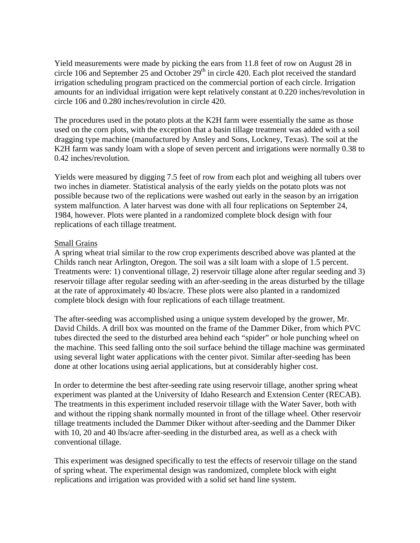Yield measurements were made by picking the ears from 11.8 feet of row on August 28 in circle 106 and September 25 and October  $29<sup>th</sup>$  in circle 420. Each plot received the standard irrigation scheduling program practiced on the commercial portion of each circle. Irrigation amounts for an individual irrigation were kept relatively constant at 0.220 inches/revolution in circle 106 and 0.280 inches/revolution in circle 420.

The procedures used in the potato plots at the K2H farm were essentially the same as those used on the corn plots, with the exception that a basin tillage treatment was added with a soil dragging type machine (manufactured by Ansley and Sons, Lockney, Texas). The soil at the K2H farm was sandy loam with a slope of seven percent and irrigations were normally 0.38 to 0.42 inches/revolution.

Yields were measured by digging 7.5 feet of row from each plot and weighing all tubers over two inches in diameter. Statistical analysis of the early yields on the potato plots was not possible because two of the replications were washed out early in the season by an irrigation system malfunction. A later harvest was done with all four replications on September 24, 1984, however. Plots were planted in a randomized complete block design with four replications of each tillage treatment.

#### Small Grains

A spring wheat trial similar to the row crop experiments described above was planted at the Childs ranch near Arlington, Oregon. The soil was a silt loam with a slope of 1.5 percent. Treatments were: 1) conventional tillage, 2) reservoir tillage alone after regular seeding and 3) reservoir tillage after regular seeding with an after-seeding in the areas disturbed by the tillage at the rate of approximately 40 lbs/acre. These plots were also planted in a randomized complete block design with four replications of each tillage treatment.

The after-seeding was accomplished using a unique system developed by the grower, Mr. David Childs. A drill box was mounted on the frame of the Dammer Diker, from which PVC tubes directed the seed to the disturbed area behind each "spider" or hole punching wheel on the machine. This seed falling onto the soil surface behind the tillage machine was germinated using several light water applications with the center pivot. Similar after-seeding has been done at other locations using aerial applications, but at considerably higher cost.

In order to determine the best after-seeding rate using reservoir tillage, another spring wheat experiment was planted at the University of Idaho Research and Extension Center (RECAB). The treatments in this experiment included reservoir tillage with the Water Saver, both with and without the ripping shank normally mounted in front of the tillage wheel. Other reservoir tillage treatments included the Dammer Diker without after-seeding and the Dammer Diker with 10, 20 and 40 lbs/acre after-seeding in the disturbed area, as well as a check with conventional tillage.

This experiment was designed specifically to test the effects of reservoir tillage on the stand of spring wheat. The experimental design was randomized, complete block with eight replications and irrigation was provided with a solid set hand line system.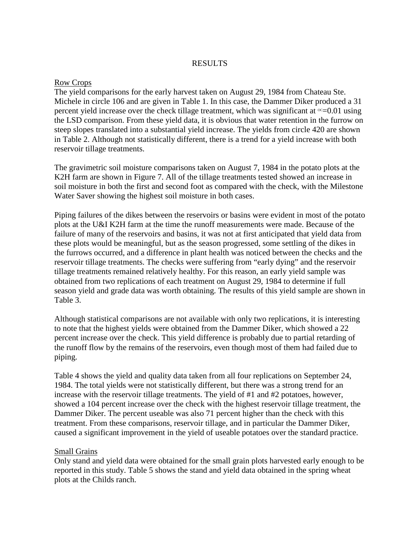## RESULTS

#### Row Crops

The yield comparisons for the early harvest taken on August 29, 1984 from Chateau Ste. Michele in circle 106 and are given in Table 1. In this case, the Dammer Diker produced a 31 percent yield increase over the check tillage treatment, which was significant at  $\infty$ =0.01 using the LSD comparison. From these yield data, it is obvious that water retention in the furrow on steep slopes translated into a substantial yield increase. The yields from circle 420 are shown in Table 2. Although not statistically different, there is a trend for a yield increase with both reservoir tillage treatments.

The gravimetric soil moisture comparisons taken on August 7, 1984 in the potato plots at the K2H farm are shown in Figure 7. All of the tillage treatments tested showed an increase in soil moisture in both the first and second foot as compared with the check, with the Milestone Water Saver showing the highest soil moisture in both cases.

Piping failures of the dikes between the reservoirs or basins were evident in most of the potato plots at the U&I K2H farm at the time the runoff measurements were made. Because of the failure of many of the reservoirs and basins, it was not at first anticipated that yield data from these plots would be meaningful, but as the season progressed, some settling of the dikes in the furrows occurred, and a difference in plant health was noticed between the checks and the reservoir tillage treatments. The checks were suffering from "early dying" and the reservoir tillage treatments remained relatively healthy. For this reason, an early yield sample was obtained from two replications of each treatment on August 29, 1984 to determine if full season yield and grade data was worth obtaining. The results of this yield sample are shown in Table 3.

Although statistical comparisons are not available with only two replications, it is interesting to note that the highest yields were obtained from the Dammer Diker, which showed a 22 percent increase over the check. This yield difference is probably due to partial retarding of the runoff flow by the remains of the reservoirs, even though most of them had failed due to piping.

Table 4 shows the yield and quality data taken from all four replications on September 24, 1984. The total yields were not statistically different, but there was a strong trend for an increase with the reservoir tillage treatments. The yield of #1 and #2 potatoes, however, showed a 104 percent increase over the check with the highest reservoir tillage treatment, the Dammer Diker. The percent useable was also 71 percent higher than the check with this treatment. From these comparisons, reservoir tillage, and in particular the Dammer Diker, caused a significant improvement in the yield of useable potatoes over the standard practice.

### Small Grains

Only stand and yield data were obtained for the small grain plots harvested early enough to be reported in this study. Table 5 shows the stand and yield data obtained in the spring wheat plots at the Childs ranch.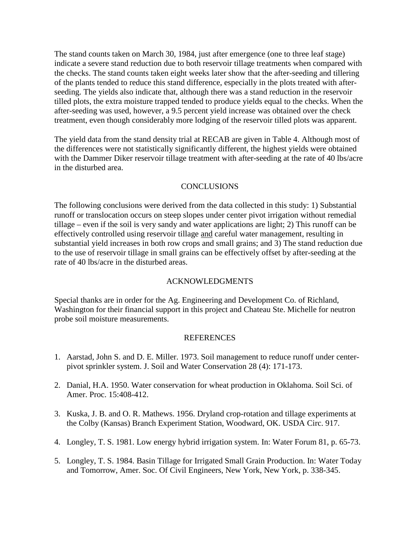The stand counts taken on March 30, 1984, just after emergence (one to three leaf stage) indicate a severe stand reduction due to both reservoir tillage treatments when compared with the checks. The stand counts taken eight weeks later show that the after-seeding and tillering of the plants tended to reduce this stand difference, especially in the plots treated with afterseeding. The yields also indicate that, although there was a stand reduction in the reservoir tilled plots, the extra moisture trapped tended to produce yields equal to the checks. When the after-seeding was used, however, a 9.5 percent yield increase was obtained over the check treatment, even though considerably more lodging of the reservoir tilled plots was apparent.

The yield data from the stand density trial at RECAB are given in Table 4. Although most of the differences were not statistically significantly different, the highest yields were obtained with the Dammer Diker reservoir tillage treatment with after-seeding at the rate of 40 lbs/acre in the disturbed area.

## CONCLUSIONS

The following conclusions were derived from the data collected in this study: 1) Substantial runoff or translocation occurs on steep slopes under center pivot irrigation without remedial tillage – even if the soil is very sandy and water applications are light; 2) This runoff can be effectively controlled using reservoir tillage and careful water management, resulting in substantial yield increases in both row crops and small grains; and 3) The stand reduction due to the use of reservoir tillage in small grains can be effectively offset by after-seeding at the rate of 40 lbs/acre in the disturbed areas.

### ACKNOWLEDGMENTS

Special thanks are in order for the Ag. Engineering and Development Co. of Richland, Washington for their financial support in this project and Chateau Ste. Michelle for neutron probe soil moisture measurements.

### REFERENCES

- 1. Aarstad, John S. and D. E. Miller. 1973. Soil management to reduce runoff under centerpivot sprinkler system. J. Soil and Water Conservation 28 (4): 171-173.
- 2. Danial, H.A. 1950. Water conservation for wheat production in Oklahoma. Soil Sci. of Amer. Proc. 15:408-412.
- 3. Kuska, J. B. and O. R. Mathews. 1956. Dryland crop-rotation and tillage experiments at the Colby (Kansas) Branch Experiment Station, Woodward, OK. USDA Circ. 917.
- 4. Longley, T. S. 1981. Low energy hybrid irrigation system. In: Water Forum 81, p. 65-73.
- 5. Longley, T. S. 1984. Basin Tillage for Irrigated Small Grain Production. In: Water Today and Tomorrow, Amer. Soc. Of Civil Engineers, New York, New York, p. 338-345.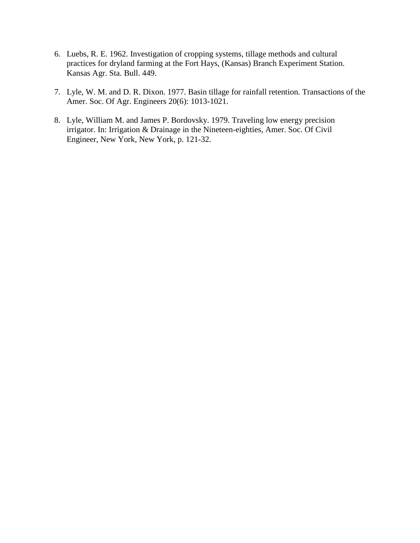- 6. Luebs, R. E. 1962. Investigation of cropping systems, tillage methods and cultural practices for dryland farming at the Fort Hays, (Kansas) Branch Experiment Station. Kansas Agr. Sta. Bull. 449.
- 7. Lyle, W. M. and D. R. Dixon. 1977. Basin tillage for rainfall retention. Transactions of the Amer. Soc. Of Agr. Engineers 20(6): 1013-1021.
- 8. Lyle, William M. and James P. Bordovsky. 1979. Traveling low energy precision irrigator. In: Irrigation & Drainage in the Nineteen-eighties, Amer. Soc. Of Civil Engineer, New York, New York, p. 121-32.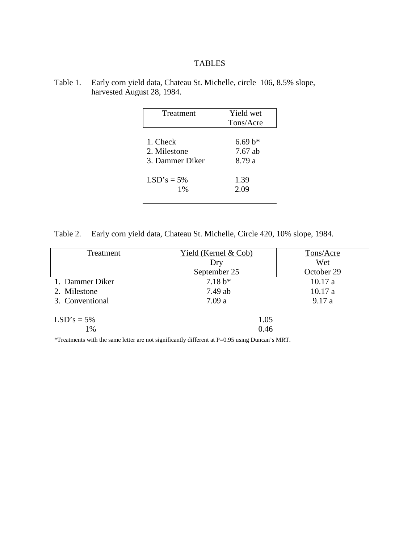# TABLES

| Table 1. Early corn yield data, Chateau St. Michelle, circle 106, 8.5% slope, |  |
|-------------------------------------------------------------------------------|--|
| harvested August 28, 1984.                                                    |  |

| Treatment       | Yield wet |
|-----------------|-----------|
|                 | Tons/Acre |
| 1. Check        | $6.69 b*$ |
| 2. Milestone    | $7.67$ ab |
| 3. Dammer Diker | 8.79 a    |
| $LSD's = 5%$    | 1.39      |
| 1%              | 2.09      |

Table 2. Early corn yield data, Chateau St. Michelle, Circle 420, 10% slope, 1984.

| Treatment       | Yield (Kernel $& Cob)$ | Tons/Acre  |
|-----------------|------------------------|------------|
|                 | Dry                    | Wet        |
|                 | September 25           | October 29 |
| 1. Dammer Diker | $7.18 b*$              | 10.17a     |
| 2. Milestone    | 7.49 ab                | 10.17a     |
| 3. Conventional | 7.09a                  | 9.17a      |
| $LSD's = 5%$    | 1.05                   |            |
| 1%              | 0.46                   |            |

\*Treatments with the same letter are not significantly different at P=0.95 using Duncan's MRT.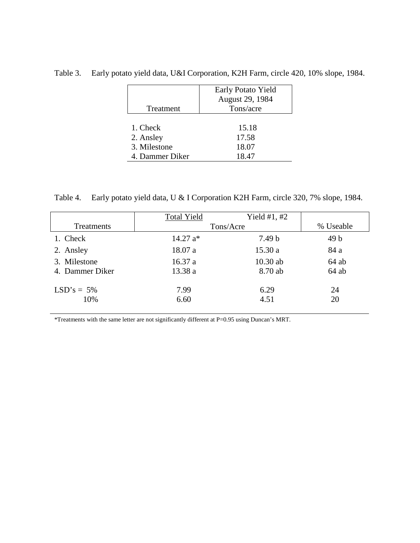|                 | Early Potato Yield |
|-----------------|--------------------|
|                 | August 29, 1984    |
| Treatment       | Tons/acre          |
|                 |                    |
| 1. Check        | 15.18              |
| 2. Ansley       | 17.58              |
| 3. Milestone    | 18.07              |
| 4. Dammer Diker | 18.47              |

Table 3. Early potato yield data, U&I Corporation, K2H Farm, circle 420, 10% slope, 1984.

Table 4. Early potato yield data, U & I Corporation K2H Farm, circle 320, 7% slope, 1984.

|                 | <b>Total Yield</b> | Yield $#1, #2$ |                 |
|-----------------|--------------------|----------------|-----------------|
| Treatments      | Tons/Acre          |                | % Useable       |
| 1. Check        | $14.27 a*$         | 7.49 b         | 49 <sub>b</sub> |
| 2. Ansley       | 18.07a             | 15.30a         | 84 a            |
| 3. Milestone    | 16.37a             | 10.30 ab       | $64$ ab         |
| 4. Dammer Diker | 13.38 a            | 8.70 ab        | $64$ ab         |
| $LSD's = 5\%$   | 7.99               | 6.29           | 24              |
| 10%             | 6.60               | 4.51           | 20              |

\*Treatments with the same letter are not significantly different at P=0.95 using Duncan's MRT.